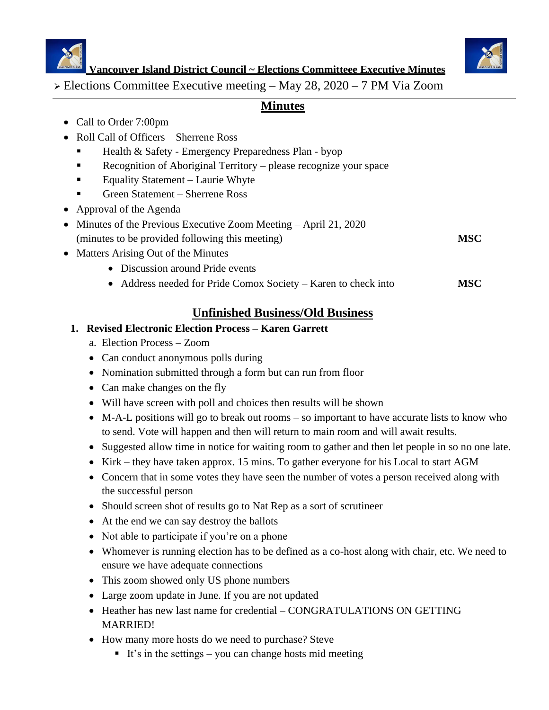



**Vancouver Island District Council ~ Elections Committeee Executive Minutes**

➢ Elections Committee Executive meeting – May 28, 2020 – 7 PM Via Zoom

## **Minutes**

- Call to Order 7:00pm
- Roll Call of Officers Sherrene Ross
	- Health & Safety Emergency Preparedness Plan byop
	- Recognition of Aboriginal Territory please recognize your space
	- Equality Statement Laurie Whyte
	- Green Statement Sherrene Ross
- Approval of the Agenda
- Minutes of the Previous Executive Zoom Meeting April 21, 2020 (minutes to be provided following this meeting) **MSC**

- Matters Arising Out of the Minutes
	- Discussion around Pride events
	- Address needed for Pride Comox Society Karen to check into **MSC**

# **Unfinished Business/Old Business**

### **1. Revised Electronic Election Process – Karen Garrett**

- a. Election Process Zoom
- Can conduct anonymous polls during
- Nomination submitted through a form but can run from floor
- Can make changes on the fly
- Will have screen with poll and choices then results will be shown
- M-A-L positions will go to break out rooms so important to have accurate lists to know who to send. Vote will happen and then will return to main room and will await results.
- Suggested allow time in notice for waiting room to gather and then let people in so no one late.
- Kirk they have taken approx. 15 mins. To gather everyone for his Local to start AGM
- Concern that in some votes they have seen the number of votes a person received along with the successful person
- Should screen shot of results go to Nat Rep as a sort of scrutineer
- At the end we can say destroy the ballots
- Not able to participate if you're on a phone
- Whomever is running election has to be defined as a co-host along with chair, etc. We need to ensure we have adequate connections
- This zoom showed only US phone numbers
- Large zoom update in June. If you are not updated
- Heather has new last name for credential CONGRATULATIONS ON GETTING MARRIED!
- How many more hosts do we need to purchase? Steve
	- It's in the settings you can change hosts mid meeting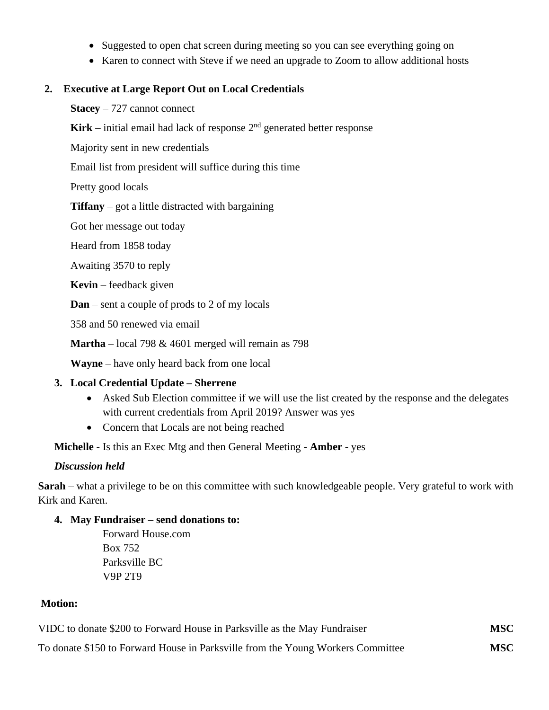- Suggested to open chat screen during meeting so you can see everything going on
- Karen to connect with Steve if we need an upgrade to Zoom to allow additional hosts

### **2. Executive at Large Report Out on Local Credentials**

**Stacey** – 727 cannot connect

**Kirk** – initial email had lack of response  $2<sup>nd</sup>$  generated better response

Majority sent in new credentials

Email list from president will suffice during this time

Pretty good locals

**Tiffany** – got a little distracted with bargaining

Got her message out today

Heard from 1858 today

Awaiting 3570 to reply

**Kevin** – feedback given

**Dan** – sent a couple of prods to 2 of my locals

358 and 50 renewed via email

**Martha** – local 798 & 4601 merged will remain as 798

**Wayne** – have only heard back from one local

### **3. Local Credential Update – Sherrene**

- Asked Sub Election committee if we will use the list created by the response and the delegates with current credentials from April 2019? Answer was yes
- Concern that Locals are not being reached

**Michelle** - Is this an Exec Mtg and then General Meeting - **Amber** - yes

### *Discussion held*

**Sarah** – what a privilege to be on this committee with such knowledgeable people. Very grateful to work with Kirk and Karen.

### **4. May Fundraiser – send donations to:**

Forward House.com Box 752 Parksville BC V9P 2T9

### **Motion:**

| VIDC to donate \$200 to Forward House in Parksville as the May Fundraiser       | <b>MSC</b> |
|---------------------------------------------------------------------------------|------------|
| To donate \$150 to Forward House in Parksville from the Young Workers Committee | <b>MSC</b> |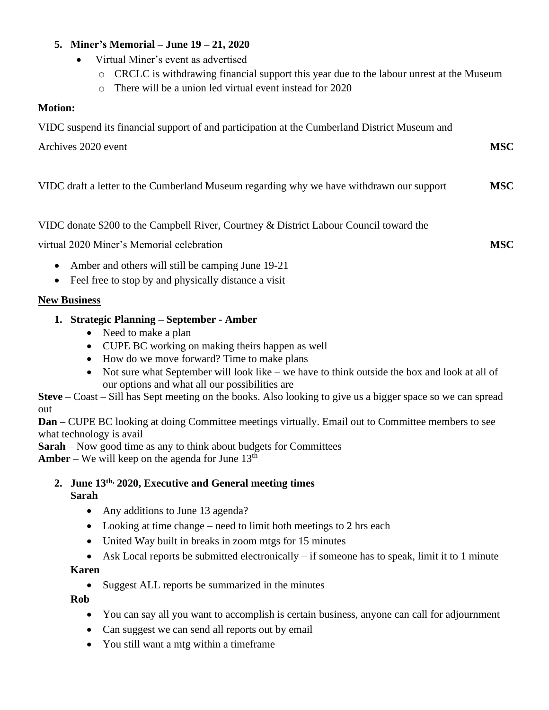### **5. Miner's Memorial – June 19 – 21, 2020**

- Virtual Miner's event as advertised
	- o CRCLC is withdrawing financial support this year due to the labour unrest at the Museum
	- o There will be a union led virtual event instead for 2020

### **Motion:**

VIDC suspend its financial support of and participation at the Cumberland District Museum and

Archives 2020 event **MSC** 

VIDC draft a letter to the Cumberland Museum regarding why we have withdrawn our support **MSC**

VIDC donate \$200 to the Campbell River, Courtney & District Labour Council toward the

virtual 2020 Miner's Memorial celebration **MSC**

- Amber and others will still be camping June 19-21
- Feel free to stop by and physically distance a visit

### **New Business**

- **1. Strategic Planning – September - Amber**
	- Need to make a plan
	- CUPE BC working on making theirs happen as well
	- How do we move forward? Time to make plans
	- Not sure what September will look like we have to think outside the box and look at all of our options and what all our possibilities are

**Steve** – Coast – Sill has Sept meeting on the books. Also looking to give us a bigger space so we can spread out

**Dan** – CUPE BC looking at doing Committee meetings virtually. Email out to Committee members to see what technology is avail

**Sarah** – Now good time as any to think about budgets for Committees

**Amber** – We will keep on the agenda for June  $13<sup>th</sup>$ 

**2. June 13th, 2020, Executive and General meeting times Sarah**

- Any additions to June 13 agenda?
- Looking at time change need to limit both meetings to 2 hrs each
- United Way built in breaks in zoom mtgs for 15 minutes
- Ask Local reports be submitted electronically  $-$  if someone has to speak, limit it to 1 minute

### **Karen**

• Suggest ALL reports be summarized in the minutes

**Rob**

- You can say all you want to accomplish is certain business, anyone can call for adjournment
- Can suggest we can send all reports out by email
- You still want a mtg within a timeframe